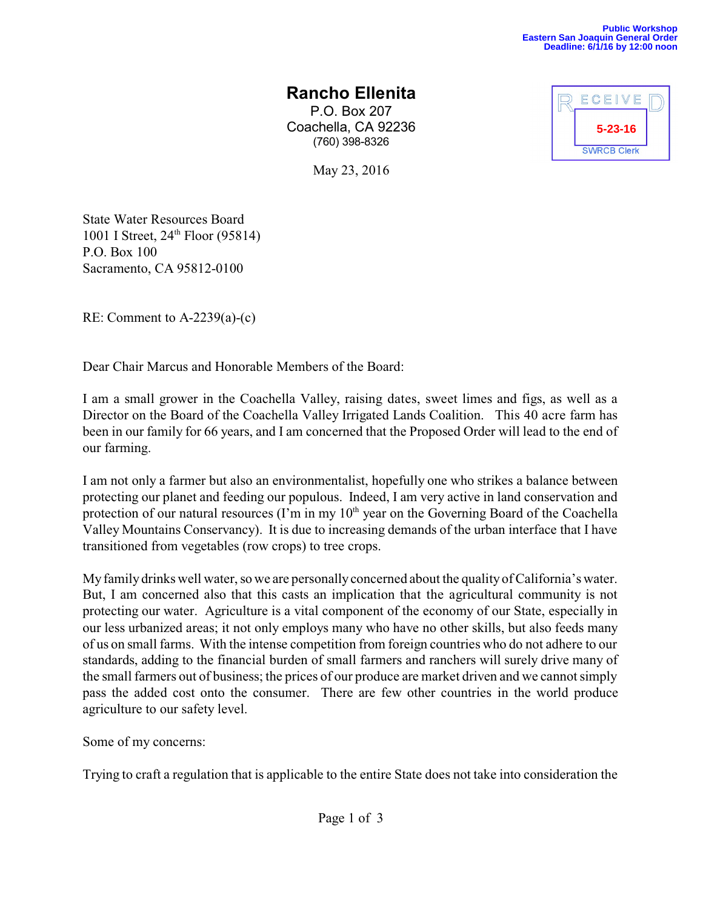## **Rancho Ellenita**

P.O. Box 207 Coachella, CA 92236 (760) 398-8326

May 23, 2016

ECEIVE **5-23-16SWRCB Clerk** 

State Water Resources Board 1001 I Street,  $24^{\text{th}}$  Floor (95814) P.O. Box 100 Sacramento, CA 95812-0100

RE: Comment to A-2239(a)-(c)

Dear Chair Marcus and Honorable Members of the Board:

I am a small grower in the Coachella Valley, raising dates, sweet limes and figs, as well as a Director on the Board of the Coachella Valley Irrigated Lands Coalition. This 40 acre farm has been in our family for 66 years, and I am concerned that the Proposed Order will lead to the end of our farming.

I am not only a farmer but also an environmentalist, hopefully one who strikes a balance between protecting our planet and feeding our populous. Indeed, I am very active in land conservation and protection of our natural resources (I'm in my  $10<sup>th</sup>$  year on the Governing Board of the Coachella Valley Mountains Conservancy). It is due to increasing demands of the urban interface that I have transitioned from vegetables (row crops) to tree crops.

My family drinks well water, so we are personally concerned about the quality of California's water. But, I am concerned also that this casts an implication that the agricultural community is not protecting our water. Agriculture is a vital component of the economy of our State, especially in our less urbanized areas; it not only employs many who have no other skills, but also feeds many of us on small farms. With the intense competition from foreign countries who do not adhere to our standards, adding to the financial burden of small farmers and ranchers will surely drive many of the small farmers out of business; the prices of our produce are market driven and we cannot simply pass the added cost onto the consumer. There are few other countries in the world produce agriculture to our safety level.

Some of my concerns:

Trying to craft a regulation that is applicable to the entire State does not take into consideration the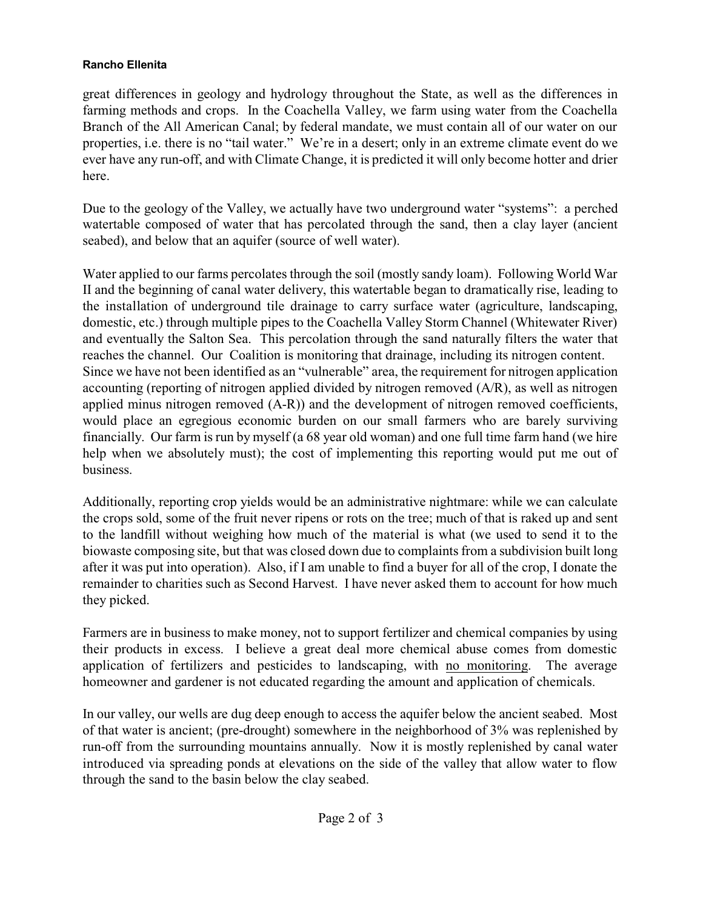## **Rancho Ellenita**

great differences in geology and hydrology throughout the State, as well as the differences in farming methods and crops. In the Coachella Valley, we farm using water from the Coachella Branch of the All American Canal; by federal mandate, we must contain all of our water on our properties, i.e. there is no "tail water." We're in a desert; only in an extreme climate event do we ever have any run-off, and with Climate Change, it is predicted it will only become hotter and drier here.

Due to the geology of the Valley, we actually have two underground water "systems": a perched watertable composed of water that has percolated through the sand, then a clay layer (ancient seabed), and below that an aquifer (source of well water).

Water applied to our farms percolates through the soil (mostly sandy loam). Following World War II and the beginning of canal water delivery, this watertable began to dramatically rise, leading to the installation of underground tile drainage to carry surface water (agriculture, landscaping, domestic, etc.) through multiple pipes to the Coachella Valley Storm Channel (Whitewater River) and eventually the Salton Sea. This percolation through the sand naturally filters the water that reaches the channel. Our Coalition is monitoring that drainage, including its nitrogen content. Since we have not been identified as an "vulnerable" area, the requirement for nitrogen application accounting (reporting of nitrogen applied divided by nitrogen removed (A/R), as well as nitrogen applied minus nitrogen removed (A-R)) and the development of nitrogen removed coefficients, would place an egregious economic burden on our small farmers who are barely surviving financially. Our farm is run by myself (a 68 year old woman) and one full time farm hand (we hire help when we absolutely must); the cost of implementing this reporting would put me out of business.

Additionally, reporting crop yields would be an administrative nightmare: while we can calculate the crops sold, some of the fruit never ripens or rots on the tree; much of that is raked up and sent to the landfill without weighing how much of the material is what (we used to send it to the biowaste composing site, but that was closed down due to complaints from a subdivision built long after it was put into operation). Also, if I am unable to find a buyer for all of the crop, I donate the remainder to charities such as Second Harvest. I have never asked them to account for how much they picked.

Farmers are in business to make money, not to support fertilizer and chemical companies by using their products in excess. I believe a great deal more chemical abuse comes from domestic application of fertilizers and pesticides to landscaping, with no monitoring. The average homeowner and gardener is not educated regarding the amount and application of chemicals.

In our valley, our wells are dug deep enough to access the aquifer below the ancient seabed. Most of that water is ancient; (pre-drought) somewhere in the neighborhood of 3% was replenished by run-off from the surrounding mountains annually. Now it is mostly replenished by canal water introduced via spreading ponds at elevations on the side of the valley that allow water to flow through the sand to the basin below the clay seabed.